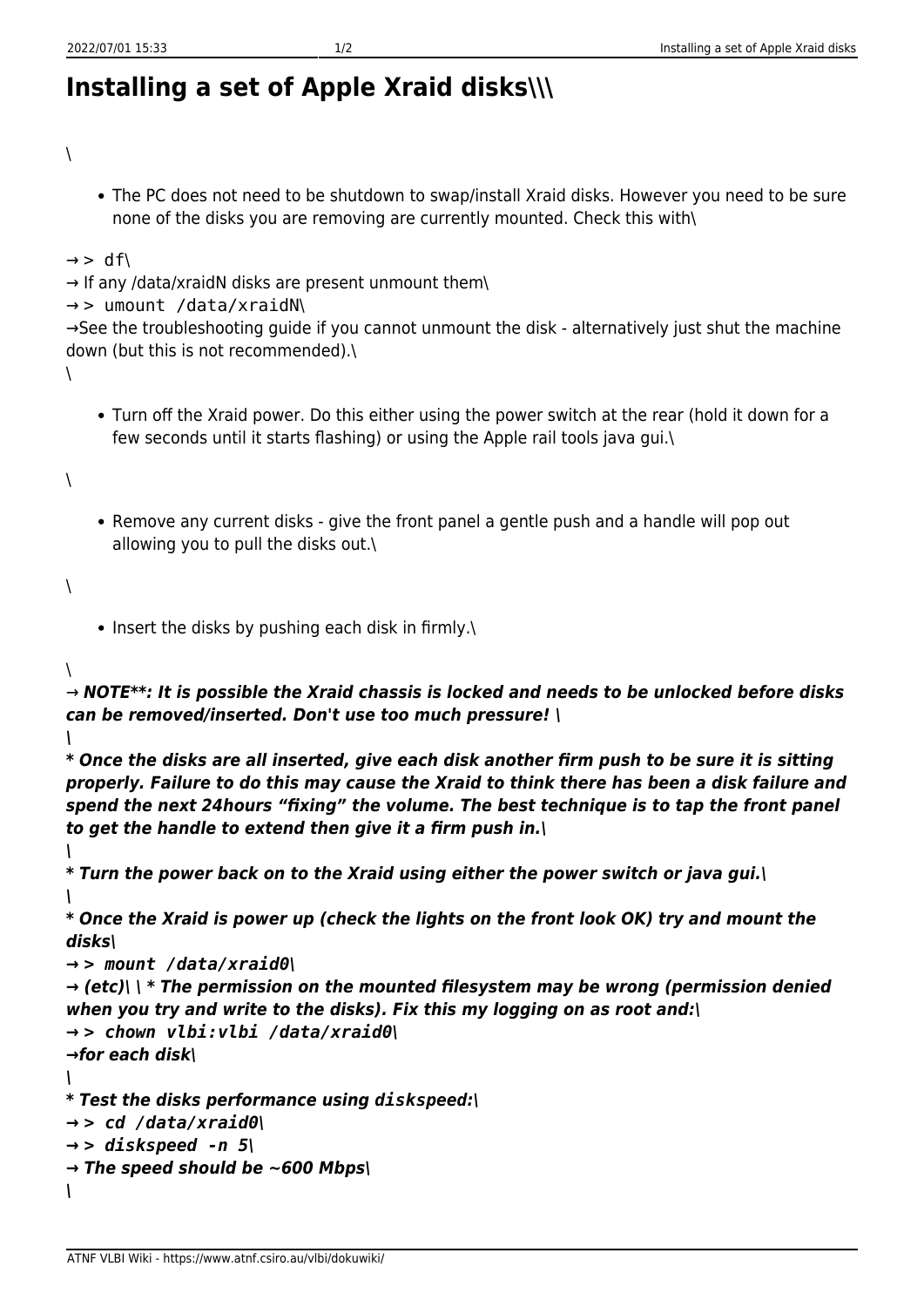## **Installing a set of Apple Xraid disks\\\**

 $\setminus$ 

The PC does not need to be shutdown to swap/install Xraid disks. However you need to be sure none of the disks you are removing are currently mounted. Check this with\

```
\rightarrow > df\
```

```
\rightarrow If any /data/xraidN disks are present unmount them\
```

```
→ > umount /data/xraidN\
```
→See the troubleshooting guide if you cannot unmount the disk - alternatively just shut the machine down (but this is not recommended).\

 $\lambda$ 

Turn off the Xraid power. Do this either using the power switch at the rear (hold it down for a few seconds until it starts flashing) or using the Apple rail tools java gui.\

 $\lambda$ 

• Remove any current disks - give the front panel a gentle push and a handle will pop out allowing you to pull the disks out.\

## $\lambda$

 $\bullet$  Insert the disks by pushing each disk in firmly.

## $\lambda$

→ *NOTE\*\*: It is possible the Xraid chassis is locked and needs to be unlocked before disks can be removed/inserted. Don't use too much pressure! \*

*\*

*\*

*\* Once the disks are all inserted, give each disk another firm push to be sure it is sitting properly. Failure to do this may cause the Xraid to think there has been a disk failure and spend the next 24hours "fixing" the volume. The best technique is to tap the front panel to get the handle to extend then give it a firm push in.\*

*\* Turn the power back on to the Xraid using either the power switch or java gui.\ \*

*\* Once the Xraid is power up (check the lights on the front look OK) try and mount the disks\*

```
→ > mount /data/xraid0\
```

```
→ (etc)\ \ * The permission on the mounted filesystem may be wrong (permission denied
when you try and write to the disks). Fix this my logging on as root and:\
→ > chown vlbi:vlbi /data/xraid0\
→for each disk\
\
```

```
* Test the disks performance using diskspeed:\
```

```
→ > cd /data/xraid0\
```

```
→ > diskspeed -n 5\
```

```
→ The speed should be ~600 Mbps\
```

```
\
```